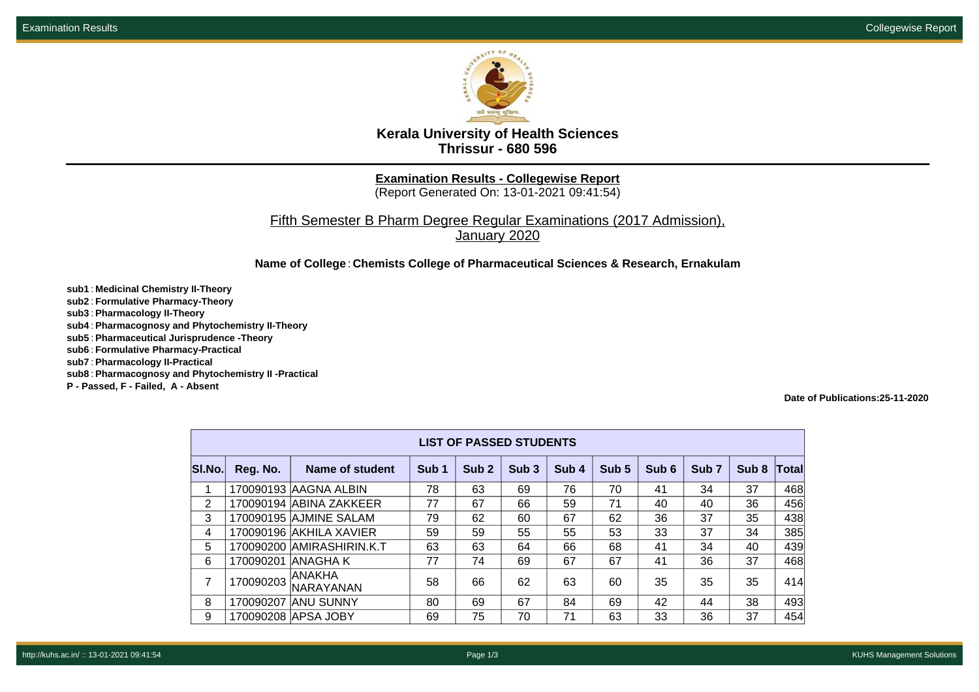

**Kerala University of Health Sciences Thrissur - 680 596**

**Examination Results - Collegewise Report**

(Report Generated On: 13-01-2021 09:41:54)

Fifth Semester B Pharm Degree Regular Examinations (2017 Admission), January 2020

**Name of College**: **Chemists College of Pharmaceutical Sciences & Research, Ernakulam**

**sub1** : **Medicinal Chemistry II-Theory sub2** : **Formulative Pharmacy-Theory sub3** : **Pharmacology II-Theory sub4** : **Pharmacognosy and Phytochemistry II-Theory sub5** : **Pharmaceutical Jurisprudence -Theory sub6** : **Formulative Pharmacy-Practical sub7** : **Pharmacology II-Practical sub8** : **Pharmacognosy and Phytochemistry II -Practical P - Passed, F - Failed, A - Absent**

**Date of Publications:25-11-2020**

| <b>LIST OF PASSED STUDENTS</b> |           |                           |                  |                  |                  |                  |       |       |                  |                  |       |
|--------------------------------|-----------|---------------------------|------------------|------------------|------------------|------------------|-------|-------|------------------|------------------|-------|
| SI.No.                         | Reg. No.  | Name of student           | Sub <sub>1</sub> | Sub <sub>2</sub> | Sub <sub>3</sub> | Sub <sub>4</sub> | Sub 5 | Sub 6 | Sub <sub>7</sub> | Sub <sub>8</sub> | Total |
| 1                              |           | 170090193 AAGNA ALBIN     | 78               | 63               | 69               | 76               | 70    | 41    | 34               | 37               | 468   |
| 2                              |           | 170090194 ABINA ZAKKEER   | 77               | 67               | 66               | 59               | 71    | 40    | 40               | 36               | 456   |
| 3                              |           | 170090195 AJMINE SALAM    | 79               | 62               | 60               | 67               | 62    | 36    | 37               | 35               | 438   |
| 4                              |           | 170090196 AKHILA XAVIER   | 59               | 59               | 55               | 55               | 53    | 33    | 37               | 34               | 385   |
| 5                              |           | 170090200 AMIRASHIRIN.K.T | 63               | 63               | 64               | 66               | 68    | 41    | 34               | 40               | 439   |
| 6                              | 170090201 | IANAGHA K                 | 77               | 74               | 69               | 67               | 67    | 41    | 36               | 37               | 468   |
| 7                              | 170090203 | ANAKHA<br>NARAYANAN       | 58               | 66               | 62               | 63               | 60    | 35    | 35               | 35               | 414   |
| 8                              | 170090207 | <b>ANU SUNNY</b>          | 80               | 69               | 67               | 84               | 69    | 42    | 44               | 38               | 493   |
| 9                              |           | 170090208 APSA JOBY       | 69               | 75               | 70               | 71               | 63    | 33    | 36               | 37               | 454   |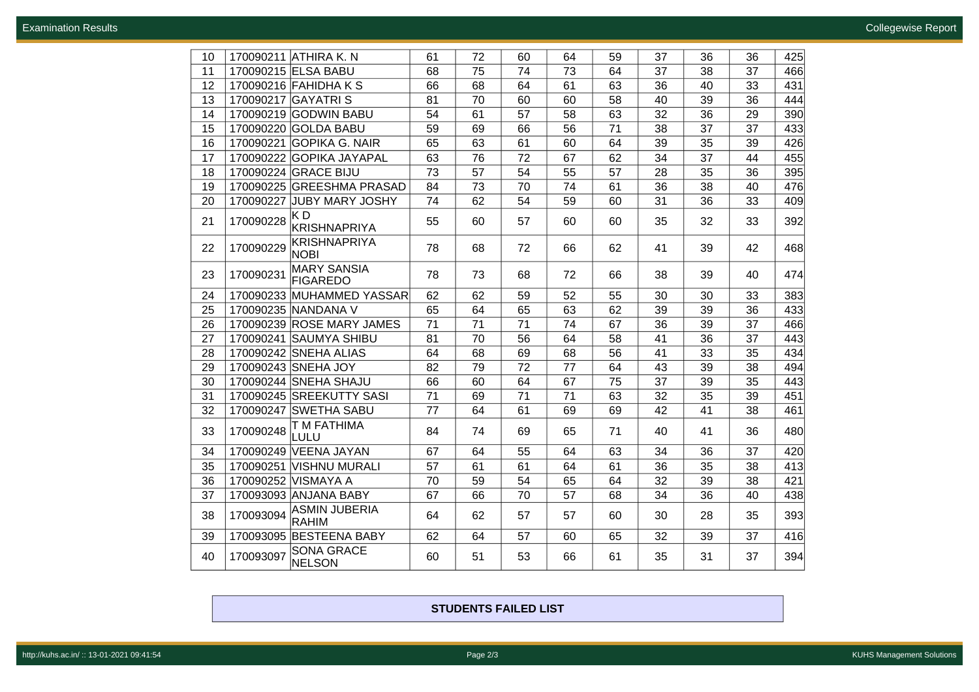| 10 |           | 170090211 ATHIRA K. N                 | 61 | 72 | 60 | 64 | 59 | 37              | 36 | 36 | 425 |
|----|-----------|---------------------------------------|----|----|----|----|----|-----------------|----|----|-----|
| 11 |           | 170090215 ELSA BABU                   | 68 | 75 | 74 | 73 | 64 | 37              | 38 | 37 | 466 |
| 12 |           | 170090216 FAHIDHA K S                 | 66 | 68 | 64 | 61 | 63 | 36              | 40 | 33 | 431 |
| 13 |           | 170090217 GAYATRI S                   | 81 | 70 | 60 | 60 | 58 | 40              | 39 | 36 | 444 |
| 14 |           | 170090219 GODWIN BABU                 | 54 | 61 | 57 | 58 | 63 | 32              | 36 | 29 | 390 |
| 15 |           | 170090220 GOLDA BABU                  | 59 | 69 | 66 | 56 | 71 | 38              | 37 | 37 | 433 |
| 16 |           | 170090221 GOPIKA G. NAIR              | 65 | 63 | 61 | 60 | 64 | 39              | 35 | 39 | 426 |
| 17 |           | 170090222 GOPIKA JAYAPAL              | 63 | 76 | 72 | 67 | 62 | 34              | 37 | 44 | 455 |
| 18 |           | 170090224 GRACE BIJU                  | 73 | 57 | 54 | 55 | 57 | $\overline{28}$ | 35 | 36 | 395 |
| 19 |           | 170090225 GREESHMA PRASAD             | 84 | 73 | 70 | 74 | 61 | 36              | 38 | 40 | 476 |
| 20 | 170090227 | <b>JUBY MARY JOSHY</b>                | 74 | 62 | 54 | 59 | 60 | 31              | 36 | 33 | 409 |
| 21 | 170090228 | KD<br><b>KRISHNAPRIYA</b>             | 55 | 60 | 57 | 60 | 60 | 35              | 32 | 33 | 392 |
| 22 | 170090229 | <b>KRISHNAPRIYA</b><br><b>NOBI</b>    | 78 | 68 | 72 | 66 | 62 | 41              | 39 | 42 | 468 |
| 23 | 170090231 | <b>MARY SANSIA</b><br><b>FIGAREDO</b> | 78 | 73 | 68 | 72 | 66 | 38              | 39 | 40 | 474 |
| 24 |           | 170090233 MUHAMMED YASSAR             | 62 | 62 | 59 | 52 | 55 | 30              | 30 | 33 | 383 |
| 25 |           | 170090235 NANDANA V                   | 65 | 64 | 65 | 63 | 62 | 39              | 39 | 36 | 433 |
| 26 |           | 170090239 ROSE MARY JAMES             | 71 | 71 | 71 | 74 | 67 | 36              | 39 | 37 | 466 |
| 27 |           | 170090241 SAUMYA SHIBU                | 81 | 70 | 56 | 64 | 58 | 41              | 36 | 37 | 443 |
| 28 |           | 170090242 SNEHA ALIAS                 | 64 | 68 | 69 | 68 | 56 | 41              | 33 | 35 | 434 |
| 29 |           | 170090243 SNEHA JOY                   | 82 | 79 | 72 | 77 | 64 | 43              | 39 | 38 | 494 |
| 30 |           | 170090244 SNEHA SHAJU                 | 66 | 60 | 64 | 67 | 75 | 37              | 39 | 35 | 443 |
| 31 |           | 170090245 SREEKUTTY SASI              | 71 | 69 | 71 | 71 | 63 | 32              | 35 | 39 | 451 |
| 32 |           | 170090247 SWETHA SABU                 | 77 | 64 | 61 | 69 | 69 | 42              | 41 | 38 | 461 |
| 33 | 170090248 | T M FATHIMA<br>LULU                   | 84 | 74 | 69 | 65 | 71 | 40              | 41 | 36 | 480 |
| 34 |           | 170090249 VEENA JAYAN                 | 67 | 64 | 55 | 64 | 63 | 34              | 36 | 37 | 420 |
| 35 | 170090251 | <b>VISHNU MURALI</b>                  | 57 | 61 | 61 | 64 | 61 | 36              | 35 | 38 | 413 |
| 36 | 170090252 | <b>VISMAYA A</b>                      | 70 | 59 | 54 | 65 | 64 | 32              | 39 | 38 | 421 |
| 37 |           | 170093093 ANJANA BABY                 | 67 | 66 | 70 | 57 | 68 | 34              | 36 | 40 | 438 |
| 38 | 170093094 | <b>ASMIN JUBERIA</b><br><b>RAHIM</b>  | 64 | 62 | 57 | 57 | 60 | 30              | 28 | 35 | 393 |
| 39 |           | 170093095 BESTEENA BABY               | 62 | 64 | 57 | 60 | 65 | 32              | 39 | 37 | 416 |
| 40 | 170093097 | <b>SONA GRACE</b><br>NELSON           | 60 | 51 | 53 | 66 | 61 | 35              | 31 | 37 | 394 |

**STUDENTS FAILED LIST**